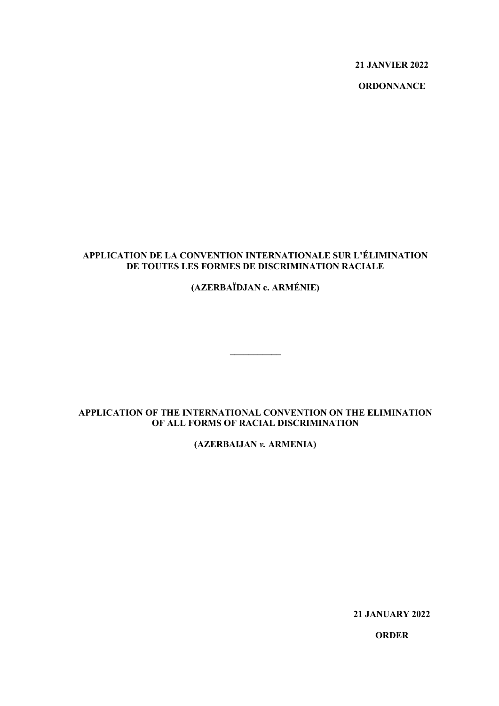**21 JANVIER 2022**

**ORDONNANCE**

# **APPLICATION DE LA CONVENTION INTERNATIONALE SUR L'ÉLIMINATION DE TOUTES LES FORMES DE DISCRIMINATION RACIALE**

# **(AZERBAÏDJAN c. ARMÉNIE)**

## **APPLICATION OF THE INTERNATIONAL CONVENTION ON THE ELIMINATION OF ALL FORMS OF RACIAL DISCRIMINATION**

 $\overline{\phantom{a}}$ 

**(AZERBAIJAN** *v.* **ARMENIA)**

**21 JANUARY 2022**

**ORDER**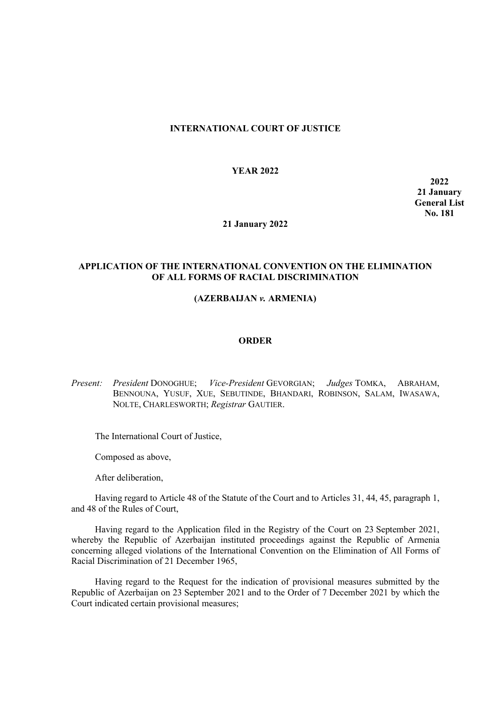### **INTERNATIONAL COURT OF JUSTICE**

#### **YEAR 2022**

**2022 21 January General List No. 181**

#### **21 January 2022**

#### **APPLICATION OF THE INTERNATIONAL CONVENTION ON THE ELIMINATION OF ALL FORMS OF RACIAL DISCRIMINATION**

## **(AZERBAIJAN** *v.* **ARMENIA)**

#### **ORDER**

*Present: President* DONOGHUE; *Vice-President* GEVORGIAN; *Judges* TOMKA, ABRAHAM, BENNOUNA, YUSUF, XUE, SEBUTINDE, BHANDARI, ROBINSON, SALAM, IWASAWA, NOLTE, CHARLESWORTH; *Registrar* GAUTIER.

The International Court of Justice,

Composed as above,

After deliberation,

Having regard to Article 48 of the Statute of the Court and to Articles 31, 44, 45, paragraph 1, and 48 of the Rules of Court,

Having regard to the Application filed in the Registry of the Court on 23 September 2021, whereby the Republic of Azerbaijan instituted proceedings against the Republic of Armenia concerning alleged violations of the International Convention on the Elimination of All Forms of Racial Discrimination of 21 December 1965,

Having regard to the Request for the indication of provisional measures submitted by the Republic of Azerbaijan on 23 September 2021 and to the Order of 7 December 2021 by which the Court indicated certain provisional measures;